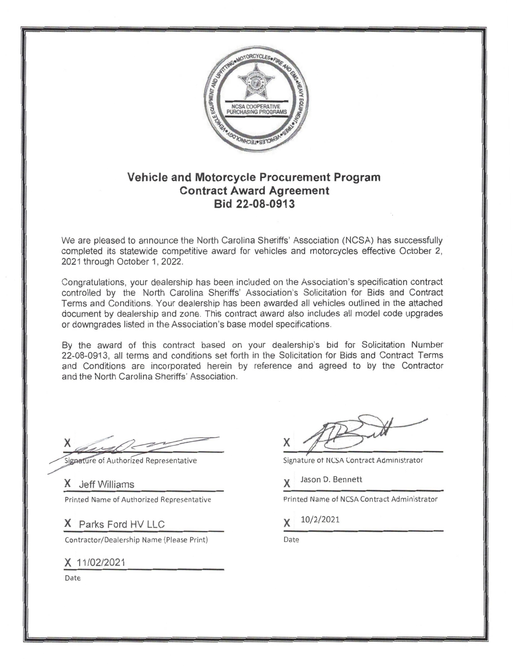

## **Vehicle and Motorcycle Procurement Program Contract Award Agreement** Bid 22-08-0913

We are pleased to announce the North Carolina Sheriffs' Association (NCSA) has successfully completed its statewide competitive award for vehicles and motorcycles effective October 2, 2021 through October 1, 2022.

Congratulations, your dealership has been included on the Association's specification contract controlled by the North Carolina Sheriffs' Association's Solicitation for Bids and Contract Terms and Conditions. Your dealership has been awarded all vehicles outlined in the attached document by dealership and zone. This contract award also includes all model code upgrades or downgrades listed in the Association's base model specifications.

By the award of this contract based on your dealership's bid for Solicitation Number 22-08-0913, all terms and conditions set forth in the Solicitation for Bids and Contract Terms and Conditions are incorporated herein by reference and agreed to by the Contractor and the North Carolina Sheriffs' Association.

Signature of Authorized Representative

X Jeff Williams Printed Name of Authorized Representative

X Parks Ford HV LLC

Contractor/Dealership Name (Please Print)

X 11/02/2021

Date

Signature of NCSA Contract Administrator

Jason D. Bennett

Printed Name of NCSA Contract Administrator

10/2/2021

Date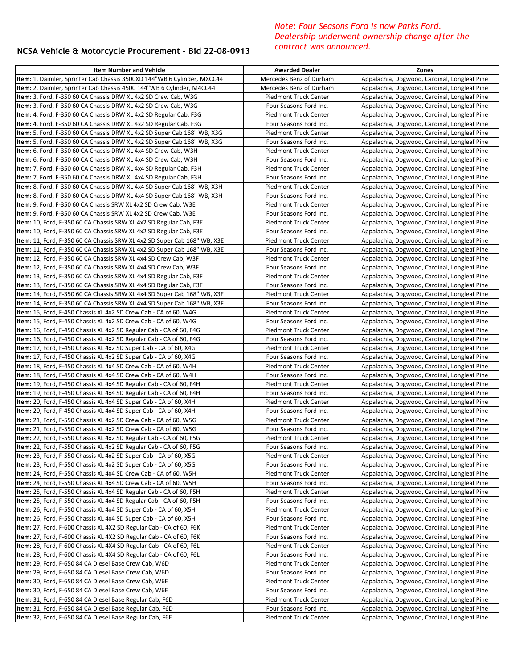## **NCSA Vehicle & Motorcycle Procurement - Bid 22-08-0913**

## *Note: Four Seasons Ford is now Parks Ford. Dealership underwent ownership change after the contract was announced.*

| <b>Item Number and Vehicle</b>                                                                                                                | <b>Awarded Dealer</b>                           | Zones                                                                                        |
|-----------------------------------------------------------------------------------------------------------------------------------------------|-------------------------------------------------|----------------------------------------------------------------------------------------------|
| Item: 1, Daimler, Sprinter Cab Chassis 3500XD 144"WB 6 Cylinder, MXCC44                                                                       | Mercedes Benz of Durham                         | Appalachia, Dogwood, Cardinal, Longleaf Pine                                                 |
| <b>Item:</b> 2, Daimler, Sprinter Cab Chassis 4500 144"WB 6 Cylinder, M4CC44                                                                  | Mercedes Benz of Durham                         | Appalachia, Dogwood, Cardinal, Longleaf Pine                                                 |
| <b>Item:</b> 3, Ford, F-350 60 CA Chassis DRW XL 4x2 SD Crew Cab, W3G                                                                         | Piedmont Truck Center                           | Appalachia, Dogwood, Cardinal, Longleaf Pine                                                 |
| Item: 3, Ford, F-350 60 CA Chassis DRW XL 4x2 SD Crew Cab, W3G                                                                                | Four Seasons Ford Inc.                          | Appalachia, Dogwood, Cardinal, Longleaf Pine                                                 |
| Item: 4, Ford, F-350 60 CA Chassis DRW XL 4x2 SD Regular Cab, F3G                                                                             | Piedmont Truck Center                           | Appalachia, Dogwood, Cardinal, Longleaf Pine                                                 |
| Item: 4, Ford, F-350 60 CA Chassis DRW XL 4x2 SD Regular Cab, F3G                                                                             | Four Seasons Ford Inc.                          | Appalachia, Dogwood, Cardinal, Longleaf Pine                                                 |
| <b>Item:</b> 5, Ford, F-350 60 CA Chassis DRW XL 4x2 SD Super Cab 168" WB, X3G                                                                | Piedmont Truck Center                           | Appalachia, Dogwood, Cardinal, Longleaf Pine                                                 |
| Item: 5, Ford, F-350 60 CA Chassis DRW XL 4x2 SD Super Cab 168" WB, X3G                                                                       | Four Seasons Ford Inc.                          | Appalachia, Dogwood, Cardinal, Longleaf Pine                                                 |
| <b>Item:</b> 6, Ford, F-350 60 CA Chassis DRW XL 4x4 SD Crew Cab, W3H                                                                         | Piedmont Truck Center                           | Appalachia, Dogwood, Cardinal, Longleaf Pine                                                 |
| Item: 6, Ford, F-350 60 CA Chassis DRW XL 4x4 SD Crew Cab, W3H                                                                                | Four Seasons Ford Inc.                          | Appalachia, Dogwood, Cardinal, Longleaf Pine                                                 |
| Item: 7, Ford, F-350 60 CA Chassis DRW XL 4x4 SD Regular Cab, F3H                                                                             | Piedmont Truck Center                           | Appalachia, Dogwood, Cardinal, Longleaf Pine                                                 |
| <b>Item:</b> 7, Ford, F-350 60 CA Chassis DRW XL 4x4 SD Regular Cab, F3H                                                                      | Four Seasons Ford Inc.                          | Appalachia, Dogwood, Cardinal, Longleaf Pine                                                 |
| Item: 8, Ford, F-350 60 CA Chassis DRW XL 4x4 SD Super Cab 168" WB, X3H                                                                       | Piedmont Truck Center                           | Appalachia, Dogwood, Cardinal, Longleaf Pine                                                 |
| <b>Item:</b> 8, Ford, F-350 60 CA Chassis DRW XL 4x4 SD Super Cab 168" WB, X3H                                                                | Four Seasons Ford Inc.                          | Appalachia, Dogwood, Cardinal, Longleaf Pine                                                 |
| Item: 9, Ford, F-350 60 CA Chassis SRW XL 4x2 SD Crew Cab, W3E                                                                                | Piedmont Truck Center                           | Appalachia, Dogwood, Cardinal, Longleaf Pine                                                 |
| Item: 9, Ford, F-350 60 CA Chassis SRW XL 4x2 SD Crew Cab, W3E                                                                                | Four Seasons Ford Inc.                          | Appalachia, Dogwood, Cardinal, Longleaf Pine                                                 |
| <b>Item:</b> 10, Ford, F-350 60 CA Chassis SRW XL 4x2 SD Regular Cab, F3E                                                                     | Piedmont Truck Center                           | Appalachia, Dogwood, Cardinal, Longleaf Pine                                                 |
| Item: 10, Ford, F-350 60 CA Chassis SRW XL 4x2 SD Regular Cab, F3E                                                                            | Four Seasons Ford Inc.                          | Appalachia, Dogwood, Cardinal, Longleaf Pine                                                 |
| Item: 11, Ford, F-350 60 CA Chassis SRW XL 4x2 SD Super Cab 168" WB, X3E                                                                      | Piedmont Truck Center                           | Appalachia, Dogwood, Cardinal, Longleaf Pine                                                 |
| Item: 11, Ford, F-350 60 CA Chassis SRW XL 4x2 SD Super Cab 168" WB, X3E                                                                      | Four Seasons Ford Inc.                          | Appalachia, Dogwood, Cardinal, Longleaf Pine                                                 |
| <b>Item:</b> 12, Ford, F-350 60 CA Chassis SRW XL 4x4 SD Crew Cab, W3F                                                                        | <b>Piedmont Truck Center</b>                    | Appalachia, Dogwood, Cardinal, Longleaf Pine                                                 |
| <b>Item:</b> 12, Ford, F-350 60 CA Chassis SRW XL 4x4 SD Crew Cab, W3F                                                                        | Four Seasons Ford Inc.                          | Appalachia, Dogwood, Cardinal, Longleaf Pine                                                 |
| <b>Item:</b> 13, Ford, F-350 60 CA Chassis SRW XL 4x4 SD Regular Cab, F3F                                                                     | Piedmont Truck Center                           | Appalachia, Dogwood, Cardinal, Longleaf Pine                                                 |
| <b>Item:</b> 13, Ford, F-350 60 CA Chassis SRW XL 4x4 SD Regular Cab, F3F                                                                     | Four Seasons Ford Inc.                          | Appalachia, Dogwood, Cardinal, Longleaf Pine                                                 |
| Item: 14, Ford, F-350 60 CA Chassis SRW XL 4x4 SD Super Cab 168" WB, X3F                                                                      | Piedmont Truck Center                           | Appalachia, Dogwood, Cardinal, Longleaf Pine                                                 |
| Item: 14, Ford, F-350 60 CA Chassis SRW XL 4x4 SD Super Cab 168" WB, X3F                                                                      | Four Seasons Ford Inc.                          | Appalachia, Dogwood, Cardinal, Longleaf Pine                                                 |
| <b>Item:</b> 15, Ford, F-450 Chassis XL 4x2 SD Crew Cab - CA of 60, W4G                                                                       | Piedmont Truck Center                           | Appalachia, Dogwood, Cardinal, Longleaf Pine                                                 |
| <b>Item:</b> 15, Ford, F-450 Chassis XL 4x2 SD Crew Cab - CA of 60, W4G                                                                       | Four Seasons Ford Inc.                          | Appalachia, Dogwood, Cardinal, Longleaf Pine                                                 |
| <b>Item:</b> 16, Ford, F-450 Chassis XL 4x2 SD Regular Cab - CA of 60, F4G                                                                    | Piedmont Truck Center                           | Appalachia, Dogwood, Cardinal, Longleaf Pine                                                 |
| Item: 16, Ford, F-450 Chassis XL 4x2 SD Regular Cab - CA of 60, F4G                                                                           | Four Seasons Ford Inc.                          | Appalachia, Dogwood, Cardinal, Longleaf Pine                                                 |
| Item: 17, Ford, F-450 Chassis XL 4x2 SD Super Cab - CA of 60, X4G<br><b>Item:</b> 17, Ford, F-450 Chassis XL 4x2 SD Super Cab - CA of 60, X4G | Piedmont Truck Center<br>Four Seasons Ford Inc. | Appalachia, Dogwood, Cardinal, Longleaf Pine<br>Appalachia, Dogwood, Cardinal, Longleaf Pine |
| <b>Item:</b> 18, Ford, F-450 Chassis XL 4x4 SD Crew Cab - CA of 60, W4H                                                                       | Piedmont Truck Center                           | Appalachia, Dogwood, Cardinal, Longleaf Pine                                                 |
| <b>Item:</b> 18, Ford, F-450 Chassis XL 4x4 SD Crew Cab - CA of 60, W4H                                                                       | Four Seasons Ford Inc.                          | Appalachia, Dogwood, Cardinal, Longleaf Pine                                                 |
| Item: 19, Ford, F-450 Chassis XL 4x4 SD Regular Cab - CA of 60, F4H                                                                           | Piedmont Truck Center                           | Appalachia, Dogwood, Cardinal, Longleaf Pine                                                 |
| Item: 19, Ford, F-450 Chassis XL 4x4 SD Regular Cab - CA of 60, F4H                                                                           | Four Seasons Ford Inc.                          | Appalachia, Dogwood, Cardinal, Longleaf Pine                                                 |
| Item: 20, Ford, F-450 Chassis XL 4x4 SD Super Cab - CA of 60, X4H                                                                             | <b>Piedmont Truck Center</b>                    | Appalachia, Dogwood, Cardinal, Longleaf Pine                                                 |
| <b>Item:</b> 20, Ford, F-450 Chassis XL 4x4 SD Super Cab - CA of 60, X4H                                                                      | Four Seasons Ford Inc.                          | Appalachia, Dogwood, Cardinal, Longleaf Pine                                                 |
| <b>Item:</b> 21, Ford, F-550 Chassis XL 4x2 SD Crew Cab - CA of 60, W5G                                                                       | Piedmont Truck Center                           | Appalachia, Dogwood, Cardinal, Longleaf Pine                                                 |
| Item: 21, Ford, F-550 Chassis XL 4x2 SD Crew Cab - CA of 60, W5G                                                                              | Four Seasons Ford Inc.                          | Appalachia, Dogwood, Cardinal, Longleaf Pine                                                 |
| Item: 22, Ford, F-550 Chassis XL 4x2 SD Regular Cab - CA of 60, F5G                                                                           | <b>Piedmont Truck Center</b>                    | Appalachia, Dogwood, Cardinal, Longleaf Pine                                                 |
| Item: 22, Ford, F-550 Chassis XL 4x2 SD Regular Cab - CA of 60, F5G                                                                           | Four Seasons Ford Inc.                          | Appalachia, Dogwood, Cardinal, Longleaf Pine                                                 |
| Item: 23, Ford, F-550 Chassis XL 4x2 SD Super Cab - CA of 60, X5G                                                                             | Piedmont Truck Center                           | Appalachia, Dogwood, Cardinal, Longleaf Pine                                                 |
| Item: 23, Ford, F-550 Chassis XL 4x2 SD Super Cab - CA of 60, X5G                                                                             | Four Seasons Ford Inc.                          | Appalachia, Dogwood, Cardinal, Longleaf Pine                                                 |
| Item: 24, Ford, F-550 Chassis XL 4x4 SD Crew Cab - CA of 60, W5H                                                                              | Piedmont Truck Center                           | Appalachia, Dogwood, Cardinal, Longleaf Pine                                                 |
| Item: 24, Ford, F-550 Chassis XL 4x4 SD Crew Cab - CA of 60, W5H                                                                              | Four Seasons Ford Inc.                          | Appalachia, Dogwood, Cardinal, Longleaf Pine                                                 |
| Item: 25, Ford, F-550 Chassis XL 4x4 SD Regular Cab - CA of 60, F5H                                                                           | <b>Piedmont Truck Center</b>                    | Appalachia, Dogwood, Cardinal, Longleaf Pine                                                 |
| Item: 25, Ford, F-550 Chassis XL 4x4 SD Regular Cab - CA of 60, F5H                                                                           | Four Seasons Ford Inc.                          | Appalachia, Dogwood, Cardinal, Longleaf Pine                                                 |
| <b>Item:</b> 26, Ford, F-550 Chassis XL 4x4 SD Super Cab - CA of 60, X5H                                                                      | Piedmont Truck Center                           | Appalachia, Dogwood, Cardinal, Longleaf Pine                                                 |
| Item: 26, Ford, F-550 Chassis XL 4x4 SD Super Cab - CA of 60, X5H                                                                             | Four Seasons Ford Inc.                          | Appalachia, Dogwood, Cardinal, Longleaf Pine                                                 |
| Item: 27, Ford, F-600 Chassis XL 4X2 SD Regular Cab - CA of 60, F6K                                                                           | Piedmont Truck Center                           | Appalachia, Dogwood, Cardinal, Longleaf Pine                                                 |
| Item: 27, Ford, F-600 Chassis XL 4X2 SD Regular Cab - CA of 60, F6K                                                                           | Four Seasons Ford Inc.                          | Appalachia, Dogwood, Cardinal, Longleaf Pine                                                 |
| <b>Item:</b> 28, Ford, F-600 Chassis XL 4X4 SD Regular Cab - CA of 60, F6L                                                                    | Piedmont Truck Center                           | Appalachia, Dogwood, Cardinal, Longleaf Pine                                                 |
| <b>Item:</b> 28, Ford, F-600 Chassis XL 4X4 SD Regular Cab - CA of 60, F6L                                                                    | Four Seasons Ford Inc.                          | Appalachia, Dogwood, Cardinal, Longleaf Pine                                                 |
| Item: 29, Ford, F-650 84 CA Diesel Base Crew Cab, W6D                                                                                         | <b>Piedmont Truck Center</b>                    | Appalachia, Dogwood, Cardinal, Longleaf Pine                                                 |
| Item: 29, Ford, F-650 84 CA Diesel Base Crew Cab, W6D                                                                                         | Four Seasons Ford Inc.                          | Appalachia, Dogwood, Cardinal, Longleaf Pine                                                 |
| Item: 30, Ford, F-650 84 CA Diesel Base Crew Cab, W6E                                                                                         | Piedmont Truck Center                           | Appalachia, Dogwood, Cardinal, Longleaf Pine                                                 |
| Item: 30, Ford, F-650 84 CA Diesel Base Crew Cab, W6E                                                                                         | Four Seasons Ford Inc.                          | Appalachia, Dogwood, Cardinal, Longleaf Pine                                                 |
| Item: 31, Ford, F-650 84 CA Diesel Base Regular Cab, F6D                                                                                      | Piedmont Truck Center                           | Appalachia, Dogwood, Cardinal, Longleaf Pine                                                 |
| Item: 31, Ford, F-650 84 CA Diesel Base Regular Cab, F6D                                                                                      | Four Seasons Ford Inc.                          | Appalachia, Dogwood, Cardinal, Longleaf Pine                                                 |
| Item: 32, Ford, F-650 84 CA Diesel Base Regular Cab, F6E                                                                                      | Piedmont Truck Center                           | Appalachia, Dogwood, Cardinal, Longleaf Pine                                                 |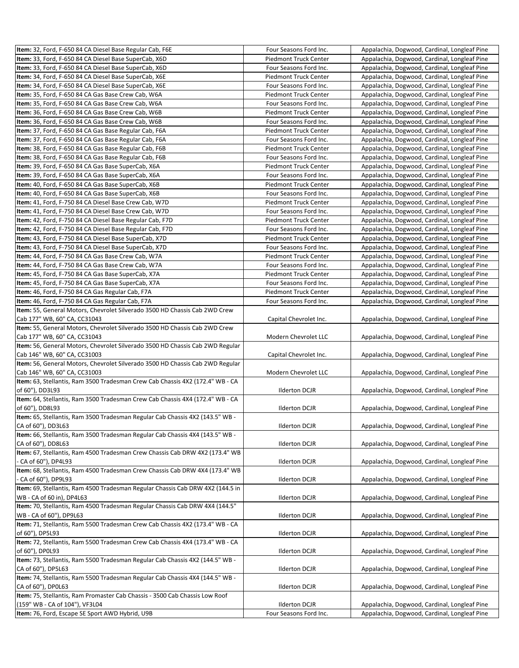| Item: 32, Ford, F-650 84 CA Diesel Base Regular Cab, F6E                       | Four Seasons Ford Inc.       | Appalachia, Dogwood, Cardinal, Longleaf Pine |
|--------------------------------------------------------------------------------|------------------------------|----------------------------------------------|
| Item: 33, Ford, F-650 84 CA Diesel Base SuperCab, X6D                          | <b>Piedmont Truck Center</b> | Appalachia, Dogwood, Cardinal, Longleaf Pine |
| Item: 33, Ford, F-650 84 CA Diesel Base SuperCab, X6D                          | Four Seasons Ford Inc.       | Appalachia, Dogwood, Cardinal, Longleaf Pine |
| Item: 34, Ford, F-650 84 CA Diesel Base SuperCab, X6E                          | <b>Piedmont Truck Center</b> | Appalachia, Dogwood, Cardinal, Longleaf Pine |
| Item: 34, Ford, F-650 84 CA Diesel Base SuperCab, X6E                          | Four Seasons Ford Inc.       | Appalachia, Dogwood, Cardinal, Longleaf Pine |
| Item: 35, Ford, F-650 84 CA Gas Base Crew Cab, W6A                             | Piedmont Truck Center        | Appalachia, Dogwood, Cardinal, Longleaf Pine |
| Item: 35, Ford, F-650 84 CA Gas Base Crew Cab, W6A                             | Four Seasons Ford Inc.       | Appalachia, Dogwood, Cardinal, Longleaf Pine |
| Item: 36, Ford, F-650 84 CA Gas Base Crew Cab, W6B                             | <b>Piedmont Truck Center</b> | Appalachia, Dogwood, Cardinal, Longleaf Pine |
| Item: 36, Ford, F-650 84 CA Gas Base Crew Cab, W6B                             | Four Seasons Ford Inc.       | Appalachia, Dogwood, Cardinal, Longleaf Pine |
| Item: 37, Ford, F-650 84 CA Gas Base Regular Cab, F6A                          | <b>Piedmont Truck Center</b> | Appalachia, Dogwood, Cardinal, Longleaf Pine |
| Item: 37, Ford, F-650 84 CA Gas Base Regular Cab, F6A                          | Four Seasons Ford Inc.       | Appalachia, Dogwood, Cardinal, Longleaf Pine |
| Item: 38, Ford, F-650 84 CA Gas Base Regular Cab, F6B                          | <b>Piedmont Truck Center</b> | Appalachia, Dogwood, Cardinal, Longleaf Pine |
| Item: 38, Ford, F-650 84 CA Gas Base Regular Cab, F6B                          | Four Seasons Ford Inc.       | Appalachia, Dogwood, Cardinal, Longleaf Pine |
| Item: 39, Ford, F-650 84 CA Gas Base SuperCab, X6A                             | <b>Piedmont Truck Center</b> | Appalachia, Dogwood, Cardinal, Longleaf Pine |
| Item: 39, Ford, F-650 84 CA Gas Base SuperCab, X6A                             | Four Seasons Ford Inc.       | Appalachia, Dogwood, Cardinal, Longleaf Pine |
| Item: 40, Ford, F-650 84 CA Gas Base SuperCab, X6B                             | Piedmont Truck Center        | Appalachia, Dogwood, Cardinal, Longleaf Pine |
| Item: 40, Ford, F-650 84 CA Gas Base SuperCab, X6B                             | Four Seasons Ford Inc.       | Appalachia, Dogwood, Cardinal, Longleaf Pine |
| Item: 41, Ford, F-750 84 CA Diesel Base Crew Cab, W7D                          | <b>Piedmont Truck Center</b> | Appalachia, Dogwood, Cardinal, Longleaf Pine |
| Item: 41, Ford, F-750 84 CA Diesel Base Crew Cab, W7D                          | Four Seasons Ford Inc.       | Appalachia, Dogwood, Cardinal, Longleaf Pine |
| Item: 42, Ford, F-750 84 CA Diesel Base Regular Cab, F7D                       | Piedmont Truck Center        | Appalachia, Dogwood, Cardinal, Longleaf Pine |
| Item: 42, Ford, F-750 84 CA Diesel Base Regular Cab, F7D                       | Four Seasons Ford Inc.       | Appalachia, Dogwood, Cardinal, Longleaf Pine |
| Item: 43, Ford, F-750 84 CA Diesel Base SuperCab, X7D                          | Piedmont Truck Center        | Appalachia, Dogwood, Cardinal, Longleaf Pine |
| Item: 43, Ford, F-750 84 CA Diesel Base SuperCab, X7D                          | Four Seasons Ford Inc.       | Appalachia, Dogwood, Cardinal, Longleaf Pine |
| Item: 44, Ford, F-750 84 CA Gas Base Crew Cab, W7A                             | <b>Piedmont Truck Center</b> | Appalachia, Dogwood, Cardinal, Longleaf Pine |
| Item: 44, Ford, F-750 84 CA Gas Base Crew Cab, W7A                             | Four Seasons Ford Inc.       | Appalachia, Dogwood, Cardinal, Longleaf Pine |
| Item: 45, Ford, F-750 84 CA Gas Base SuperCab, X7A                             | Piedmont Truck Center        | Appalachia, Dogwood, Cardinal, Longleaf Pine |
| Item: 45, Ford, F-750 84 CA Gas Base SuperCab, X7A                             | Four Seasons Ford Inc.       | Appalachia, Dogwood, Cardinal, Longleaf Pine |
| Item: 46, Ford, F-750 84 CA Gas Regular Cab, F7A                               | Piedmont Truck Center        | Appalachia, Dogwood, Cardinal, Longleaf Pine |
| Item: 46, Ford, F-750 84 CA Gas Regular Cab, F7A                               | Four Seasons Ford Inc.       | Appalachia, Dogwood, Cardinal, Longleaf Pine |
| Item: 55, General Motors, Chevrolet Silverado 3500 HD Chassis Cab 2WD Crew     |                              |                                              |
| Cab 177" WB, 60" CA, CC31043                                                   | Capital Chevrolet Inc.       | Appalachia, Dogwood, Cardinal, Longleaf Pine |
| Item: 55, General Motors, Chevrolet Silverado 3500 HD Chassis Cab 2WD Crew     |                              |                                              |
| Cab 177" WB, 60" CA, CC31043                                                   | Modern Chevrolet LLC         | Appalachia, Dogwood, Cardinal, Longleaf Pine |
| Item: 56, General Motors, Chevrolet Silverado 3500 HD Chassis Cab 2WD Regular  |                              |                                              |
| Cab 146" WB, 60" CA, CC31003                                                   | Capital Chevrolet Inc.       | Appalachia, Dogwood, Cardinal, Longleaf Pine |
| Item: 56, General Motors, Chevrolet Silverado 3500 HD Chassis Cab 2WD Regular  |                              |                                              |
| Cab 146" WB, 60" CA, CC31003                                                   | Modern Chevrolet LLC         | Appalachia, Dogwood, Cardinal, Longleaf Pine |
| Item: 63, Stellantis, Ram 3500 Tradesman Crew Cab Chassis 4X2 (172.4" WB - CA  |                              |                                              |
| of 60"), DD3L93                                                                | <b>Ilderton DCJR</b>         | Appalachia, Dogwood, Cardinal, Longleaf Pine |
| Item: 64, Stellantis, Ram 3500 Tradesman Crew Cab Chassis 4X4 (172.4" WB - CA  |                              |                                              |
| of 60"), DD8L93                                                                | <b>Ilderton DCJR</b>         | Appalachia, Dogwood, Cardinal, Longleaf Pine |
| Item: 65, Stellantis, Ram 3500 Tradesman Regular Cab Chassis 4X2 (143.5" WB -  |                              |                                              |
| CA of 60"), DD3L63                                                             | <b>Ilderton DCJR</b>         | Appalachia, Dogwood, Cardinal, Longleaf Pine |
| Item: 66, Stellantis, Ram 3500 Tradesman Regular Cab Chassis 4X4 (143.5" WB -  |                              |                                              |
| CA of 60"), DD8L63                                                             | Ilderton DCJR                | Appalachia, Dogwood, Cardinal, Longleaf Pine |
| Item: 67, Stellantis, Ram 4500 Tradesman Crew Chassis Cab DRW 4X2 (173.4" WB   |                              |                                              |
| CA of 60"), DP4L93                                                             | <b>Ilderton DCJR</b>         | Appalachia, Dogwood, Cardinal, Longleaf Pine |
| Item: 68, Stellantis, Ram 4500 Tradesman Crew Chassis Cab DRW 4X4 (173.4" WB   |                              |                                              |
| CA of 60"), DP9L93                                                             | <b>Ilderton DCJR</b>         | Appalachia, Dogwood, Cardinal, Longleaf Pine |
| Item: 69, Stellantis, Ram 4500 Tradesman Regular Chassis Cab DRW 4X2 (144.5 in |                              |                                              |
| WB - CA of 60 in), DP4L63                                                      | <b>Ilderton DCJR</b>         | Appalachia, Dogwood, Cardinal, Longleaf Pine |
| Item: 70, Stellantis, Ram 4500 Tradesman Regular Chassis Cab DRW 4X4 (144.5"   |                              |                                              |
| WB - CA of 60"), DP9L63                                                        | <b>Ilderton DCJR</b>         | Appalachia, Dogwood, Cardinal, Longleaf Pine |
| Item: 71, Stellantis, Ram 5500 Tradesman Crew Cab Chassis 4X2 (173.4" WB - CA  |                              |                                              |
| of 60"), DP5L93                                                                | <b>Ilderton DCJR</b>         | Appalachia, Dogwood, Cardinal, Longleaf Pine |
| Item: 72, Stellantis, Ram 5500 Tradesman Crew Cab Chassis 4X4 (173.4" WB - CA  |                              |                                              |
| of 60"), DP0L93                                                                | <b>Ilderton DCJR</b>         | Appalachia, Dogwood, Cardinal, Longleaf Pine |
| Item: 73, Stellantis, Ram 5500 Tradesman Regular Cab Chassis 4X2 (144.5" WB -  |                              |                                              |
| CA of 60"), DP5L63                                                             | <b>Ilderton DCJR</b>         | Appalachia, Dogwood, Cardinal, Longleaf Pine |
| Item: 74, Stellantis, Ram 5500 Tradesman Regular Cab Chassis 4X4 (144.5" WB -  |                              |                                              |
| CA of 60"), DP0L63                                                             | <b>Ilderton DCJR</b>         | Appalachia, Dogwood, Cardinal, Longleaf Pine |
| Item: 75, Stellantis, Ram Promaster Cab Chassis - 3500 Cab Chassis Low Roof    |                              |                                              |
| (159" WB - CA of 104"), VF3L04                                                 | <b>Ilderton DCJR</b>         | Appalachia, Dogwood, Cardinal, Longleaf Pine |
| Item: 76, Ford, Escape SE Sport AWD Hybrid, U9B                                | Four Seasons Ford Inc.       | Appalachia, Dogwood, Cardinal, Longleaf Pine |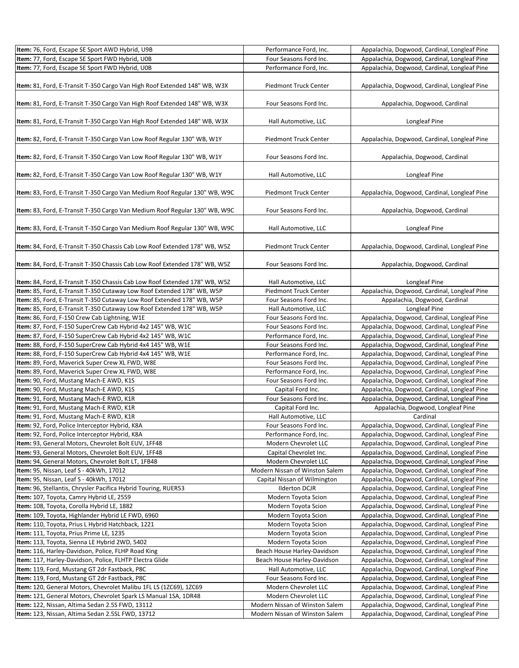| Item: 76, Ford, Escape SE Sport AWD Hybrid, U9B                                                           | Performance Ford, Inc.                         | Appalachia, Dogwood, Cardinal, Longleaf Pine                                                 |
|-----------------------------------------------------------------------------------------------------------|------------------------------------------------|----------------------------------------------------------------------------------------------|
| Item: 77, Ford, Escape SE Sport FWD Hybrid, U0B                                                           | Four Seasons Ford Inc.                         | Appalachia, Dogwood, Cardinal, Longleaf Pine                                                 |
| Item: 77, Ford, Escape SE Sport FWD Hybrid, U0B                                                           | Performance Ford, Inc.                         | Appalachia, Dogwood, Cardinal, Longleaf Pine                                                 |
|                                                                                                           |                                                |                                                                                              |
| Item: 81, Ford, E-Transit T-350 Cargo Van High Roof Extended 148" WB, W3X                                 | Piedmont Truck Center                          | Appalachia, Dogwood, Cardinal, Longleaf Pine                                                 |
| Item: 81, Ford, E-Transit T-350 Cargo Van High Roof Extended 148" WB, W3X                                 | Four Seasons Ford Inc.                         | Appalachia, Dogwood, Cardinal                                                                |
| Item: 81, Ford, E-Transit T-350 Cargo Van High Roof Extended 148" WB, W3X                                 | Hall Automotive, LLC                           | Longleaf Pine                                                                                |
| Item: 82, Ford, E-Transit T-350 Cargo Van Low Roof Regular 130" WB, W1Y                                   | Piedmont Truck Center                          | Appalachia, Dogwood, Cardinal, Longleaf Pine                                                 |
| Item: 82, Ford, E-Transit T-350 Cargo Van Low Roof Regular 130" WB, W1Y                                   | Four Seasons Ford Inc.                         | Appalachia, Dogwood, Cardinal                                                                |
| Item: 82, Ford, E-Transit T-350 Cargo Van Low Roof Regular 130" WB, W1Y                                   | Hall Automotive, LLC                           | Longleaf Pine                                                                                |
| Item: 83, Ford, E-Transit T-350 Cargo Van Medium Roof Regular 130" WB, W9C                                | Piedmont Truck Center                          | Appalachia, Dogwood, Cardinal, Longleaf Pine                                                 |
| Item: 83, Ford, E-Transit T-350 Cargo Van Medium Roof Regular 130" WB, W9C                                | Four Seasons Ford Inc.                         | Appalachia, Dogwood, Cardinal                                                                |
| Item: 83, Ford, E-Transit T-350 Cargo Van Medium Roof Regular 130" WB, W9C                                | Hall Automotive, LLC                           | Longleaf Pine                                                                                |
| Item: 84, Ford, E-Transit T-350 Chassis Cab Low Roof Extended 178" WB, W5Z                                | Piedmont Truck Center                          | Appalachia, Dogwood, Cardinal, Longleaf Pine                                                 |
| Item: 84, Ford, E-Transit T-350 Chassis Cab Low Roof Extended 178" WB, W5Z                                | Four Seasons Ford Inc.                         | Appalachia, Dogwood, Cardinal                                                                |
| Item: 84, Ford, E-Transit T-350 Chassis Cab Low Roof Extended 178" WB, W5Z                                | Hall Automotive, LLC                           | Longleaf Pine                                                                                |
| Item: 85, Ford, E-Transit T-350 Cutaway Low Roof Extended 178" WB, W5P                                    | Piedmont Truck Center                          | Appalachia, Dogwood, Cardinal, Longleaf Pine                                                 |
| Item: 85, Ford, E-Transit T-350 Cutaway Low Roof Extended 178" WB, W5P                                    | Four Seasons Ford Inc.                         | Appalachia, Dogwood, Cardinal                                                                |
| Item: 85, Ford, E-Transit T-350 Cutaway Low Roof Extended 178" WB, W5P                                    | Hall Automotive, LLC                           | Longleaf Pine                                                                                |
| Item: 86, Ford, F-150 Crew Cab Lightning, W1E                                                             | Four Seasons Ford Inc.                         | Appalachia, Dogwood, Cardinal, Longleaf Pine                                                 |
| Item: 87, Ford, F-150 SuperCrew Cab Hybrid 4x2 145" WB, W1C                                               | Four Seasons Ford Inc.                         | Appalachia, Dogwood, Cardinal, Longleaf Pine                                                 |
| Item: 87, Ford, F-150 SuperCrew Cab Hybrid 4x2 145" WB, W1C                                               | Performance Ford, Inc.                         | Appalachia, Dogwood, Cardinal, Longleaf Pine                                                 |
| Item: 88, Ford, F-150 SuperCrew Cab Hybrid 4x4 145" WB, W1E                                               | Four Seasons Ford Inc.                         | Appalachia, Dogwood, Cardinal, Longleaf Pine                                                 |
| Item: 88, Ford, F-150 SuperCrew Cab Hybrid 4x4 145" WB, W1E                                               | Performance Ford, Inc.                         | Appalachia, Dogwood, Cardinal, Longleaf Pine                                                 |
| Item: 89, Ford, Maverick Super Crew XL FWD, W8E                                                           | Four Seasons Ford Inc.                         | Appalachia, Dogwood, Cardinal, Longleaf Pine                                                 |
| Item: 89, Ford, Maverick Super Crew XL FWD, W8E                                                           | Performance Ford, Inc.                         | Appalachia, Dogwood, Cardinal, Longleaf Pine                                                 |
| Item: 90, Ford, Mustang Mach-E AWD, K1S                                                                   | Four Seasons Ford Inc.                         | Appalachia, Dogwood, Cardinal, Longleaf Pine                                                 |
| Item: 90, Ford, Mustang Mach-E AWD, K1S                                                                   | Capital Ford Inc.                              | Appalachia, Dogwood, Cardinal, Longleaf Pine                                                 |
| Item: 91, Ford, Mustang Mach-E RWD, K1R                                                                   | Four Seasons Ford Inc.                         | Appalachia, Dogwood, Cardinal, Longleaf Pine                                                 |
| Item: 91, Ford, Mustang Mach-E RWD, K1R                                                                   | Capital Ford Inc.                              | Appalachia, Dogwood, Longleaf Pine                                                           |
| Item: 91, Ford, Mustang Mach-E RWD, K1R                                                                   | Hall Automotive, LLC                           | Cardinal                                                                                     |
| Item: 92, Ford, Police Interceptor Hybrid, K8A                                                            | Four Seasons Ford Inc.                         | Appalachia, Dogwood, Cardinal, Longleaf Pine                                                 |
| Item: 92, Ford, Police Interceptor Hybrid, K8A                                                            | Performance Ford, Inc.                         | Appalachia, Dogwood, Cardinal, Longleaf Pine                                                 |
| Item: 93, General Motors, Chevrolet Bolt EUV, 1FF48                                                       | Modern Chevrolet LLC                           | Appalachia, Dogwood, Cardinal, Longleaf Pine                                                 |
| Item: 93, General Motors, Chevrolet Bolt EUV, 1FF48<br>Item: 94, General Motors, Chevrolet Bolt LT, 1FB48 | Capital Chevrolet Inc.<br>Modern Chevrolet LLC | Appalachia, Dogwood, Cardinal, Longleaf Pine<br>Appalachia, Dogwood, Cardinal, Longleaf Pine |
| Item: 95, Nissan, Leaf S - 40kWh, 17012                                                                   | Modern Nissan of Winston Salem                 | Appalachia, Dogwood, Cardinal, Longleaf Pine                                                 |
| Item: 95, Nissan, Leaf S - 40kWh, 17012                                                                   | Capital Nissan of Wilmington                   | Appalachia, Dogwood, Cardinal, Longleaf Pine                                                 |
| Item: 96, Stellantis, Chrysler Pacifica Hybrid Touring, RUER53                                            | <b>Ilderton DCJR</b>                           | Appalachia, Dogwood, Cardinal, Longleaf Pine                                                 |
| Item: 107, Toyota, Camry Hybrid LE, 2559                                                                  | Modern Toyota Scion                            | Appalachia, Dogwood, Cardinal, Longleaf Pine                                                 |
| Item: 108, Toyota, Corolla Hybrid LE, 1882                                                                | Modern Toyota Scion                            | Appalachia, Dogwood, Cardinal, Longleaf Pine                                                 |
| Item: 109, Toyota, Highlander Hybrid LE FWD, 6960                                                         | Modern Toyota Scion                            | Appalachia, Dogwood, Cardinal, Longleaf Pine                                                 |
| Item: 110, Toyota, Prius L Hybrid Hatchback, 1221                                                         | Modern Toyota Scion                            | Appalachia, Dogwood, Cardinal, Longleaf Pine                                                 |
| Item: 111, Toyota, Prius Prime LE, 1235                                                                   | Modern Toyota Scion                            | Appalachia, Dogwood, Cardinal, Longleaf Pine                                                 |
| Item: 113, Toyota, Sienna LE Hybrid 2WD, 5402                                                             | Modern Toyota Scion                            | Appalachia, Dogwood, Cardinal, Longleaf Pine                                                 |
| Item: 116, Harley-Davidson, Police, FLHP Road King                                                        | Beach House Harley-Davidson                    | Appalachia, Dogwood, Cardinal, Longleaf Pine                                                 |
| Item: 117, Harley-Davidson, Police, FLHTP Electra Glide                                                   | Beach House Harley-Davidson                    | Appalachia, Dogwood, Cardinal, Longleaf Pine                                                 |
| Item: 119, Ford, Mustang GT 2dr Fastback, P8C                                                             | Hall Automotive, LLC                           | Appalachia, Dogwood, Cardinal, Longleaf Pine                                                 |
| Item: 119, Ford, Mustang GT 2dr Fastback, P8C                                                             | Four Seasons Ford Inc.                         | Appalachia, Dogwood, Cardinal, Longleaf Pine                                                 |
| Item: 120, General Motors, Chevrolet Malibu 1FL LS (1ZC69), 1ZC69                                         | Modern Chevrolet LLC                           | Appalachia, Dogwood, Cardinal, Longleaf Pine                                                 |
| Item: 121, General Motors, Chevrolet Spark LS Manual 1SA, 1DR48                                           | Modern Chevrolet LLC                           | Appalachia, Dogwood, Cardinal, Longleaf Pine                                                 |
| Item: 122, Nissan, Altima Sedan 2.5S FWD, 13112                                                           | Modern Nissan of Winston Salem                 | Appalachia, Dogwood, Cardinal, Longleaf Pine                                                 |
| Item: 123, Nissan, Altima Sedan 2.5SL FWD, 13712                                                          | Modern Nissan of Winston Salem                 | Appalachia, Dogwood, Cardinal, Longleaf Pine                                                 |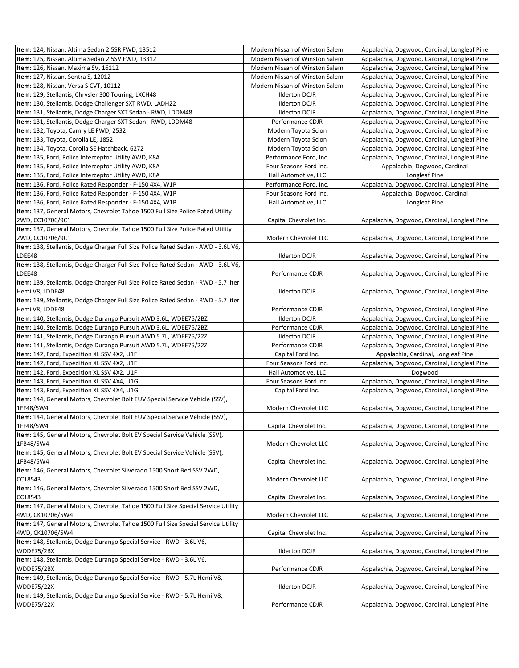| Item: 124, Nissan, Altima Sedan 2.5SR FWD, 13512                                         | Modern Nissan of Winston Salem | Appalachia, Dogwood, Cardinal, Longleaf Pine |
|------------------------------------------------------------------------------------------|--------------------------------|----------------------------------------------|
| Item: 125, Nissan, Altima Sedan 2.5SV FWD, 13312                                         | Modern Nissan of Winston Salem | Appalachia, Dogwood, Cardinal, Longleaf Pine |
| Item: 126, Nissan, Maxima SV, 16112                                                      | Modern Nissan of Winston Salem | Appalachia, Dogwood, Cardinal, Longleaf Pine |
| Item: 127, Nissan, Sentra S, 12012                                                       | Modern Nissan of Winston Salem | Appalachia, Dogwood, Cardinal, Longleaf Pine |
| Item: 128, Nissan, Versa S CVT, 10112                                                    | Modern Nissan of Winston Salem | Appalachia, Dogwood, Cardinal, Longleaf Pine |
| Item: 129, Stellantis, Chrysler 300 Touring, LXCH48                                      | <b>Ilderton DCJR</b>           | Appalachia, Dogwood, Cardinal, Longleaf Pine |
| Item: 130, Stellantis, Dodge Challenger SXT RWD, LADH22                                  | <b>Ilderton DCJR</b>           | Appalachia, Dogwood, Cardinal, Longleaf Pine |
| Item: 131, Stellantis, Dodge Charger SXT Sedan - RWD, LDDM48                             | <b>Ilderton DCJR</b>           | Appalachia, Dogwood, Cardinal, Longleaf Pine |
| Item: 131, Stellantis, Dodge Charger SXT Sedan - RWD, LDDM48                             | Performance CDJR               | Appalachia, Dogwood, Cardinal, Longleaf Pine |
| Item: 132, Toyota, Camry LE FWD, 2532                                                    | Modern Toyota Scion            | Appalachia, Dogwood, Cardinal, Longleaf Pine |
| Item: 133, Toyota, Corolla LE, 1852                                                      | Modern Toyota Scion            | Appalachia, Dogwood, Cardinal, Longleaf Pine |
| Item: 134, Toyota, Corolla SE Hatchback, 6272                                            | Modern Toyota Scion            | Appalachia, Dogwood, Cardinal, Longleaf Pine |
| Item: 135, Ford, Police Interceptor Utility AWD, K8A                                     | Performance Ford, Inc.         | Appalachia, Dogwood, Cardinal, Longleaf Pine |
| Item: 135, Ford, Police Interceptor Utility AWD, K8A                                     | Four Seasons Ford Inc.         | Appalachia, Dogwood, Cardinal                |
| <b>Item:</b> 135, Ford, Police Interceptor Utility AWD, K8A                              | Hall Automotive, LLC           | Longleaf Pine                                |
| Item: 136, Ford, Police Rated Responder - F-150 4X4, W1P                                 | Performance Ford, Inc.         | Appalachia, Dogwood, Cardinal, Longleaf Pine |
| Item: 136, Ford, Police Rated Responder - F-150 4X4, W1P                                 | Four Seasons Ford Inc.         | Appalachia, Dogwood, Cardinal                |
| Item: 136, Ford, Police Rated Responder - F-150 4X4, W1P                                 | Hall Automotive, LLC           | Longleaf Pine                                |
| Item: 137, General Motors, Chevrolet Tahoe 1500 Full Size Police Rated Utility           |                                |                                              |
| 2WD, CC10706/9C1                                                                         | Capital Chevrolet Inc.         | Appalachia, Dogwood, Cardinal, Longleaf Pine |
| Item: 137, General Motors, Chevrolet Tahoe 1500 Full Size Police Rated Utility           |                                |                                              |
| 2WD, CC10706/9C1                                                                         | Modern Chevrolet LLC           | Appalachia, Dogwood, Cardinal, Longleaf Pine |
| Item: 138, Stellantis, Dodge Charger Full Size Police Rated Sedan - AWD - 3.6L V6,       |                                |                                              |
| LDEE48                                                                                   | <b>Ilderton DCJR</b>           | Appalachia, Dogwood, Cardinal, Longleaf Pine |
| Item: 138, Stellantis, Dodge Charger Full Size Police Rated Sedan - AWD - 3.6L V6,       |                                |                                              |
| LDEE48                                                                                   | Performance CDJR               | Appalachia, Dogwood, Cardinal, Longleaf Pine |
| Item: 139, Stellantis, Dodge Charger Full Size Police Rated Sedan - RWD - 5.7 liter      |                                |                                              |
| Hemi V8, LDDE48                                                                          | <b>Ilderton DCJR</b>           | Appalachia, Dogwood, Cardinal, Longleaf Pine |
| Item: 139, Stellantis, Dodge Charger Full Size Police Rated Sedan - RWD - 5.7 liter      |                                |                                              |
| Hemi V8, LDDE48                                                                          | Performance CDJR               | Appalachia, Dogwood, Cardinal, Longleaf Pine |
| Item: 140, Stellantis, Dodge Durango Pursuit AWD 3.6L, WDEE75/2BZ                        | <b>Ilderton DCJR</b>           | Appalachia, Dogwood, Cardinal, Longleaf Pine |
| Item: 140, Stellantis, Dodge Durango Pursuit AWD 3.6L, WDEE75/2BZ                        | Performance CDJR               | Appalachia, Dogwood, Cardinal, Longleaf Pine |
| Item: 141, Stellantis, Dodge Durango Pursuit AWD 5.7L, WDEE75/22Z                        | <b>Ilderton DCJR</b>           | Appalachia, Dogwood, Cardinal, Longleaf Pine |
| Item: 141, Stellantis, Dodge Durango Pursuit AWD 5.7L, WDEE75/22Z                        | Performance CDJR               | Appalachia, Dogwood, Cardinal, Longleaf Pine |
| Item: 142, Ford, Expedition XL SSV 4X2, U1F                                              | Capital Ford Inc.              | Appalachia, Cardinal, Longleaf Pine          |
| Item: 142, Ford, Expedition XL SSV 4X2, U1F                                              | Four Seasons Ford Inc.         | Appalachia, Dogwood, Cardinal, Longleaf Pine |
| Item: 142, Ford, Expedition XL SSV 4X2, U1F                                              | Hall Automotive, LLC           | Dogwood                                      |
| Item: 143, Ford, Expedition XL SSV 4X4, U1G                                              | Four Seasons Ford Inc.         | Appalachia, Dogwood, Cardinal, Longleaf Pine |
| Item: 143, Ford, Expedition XL SSV 4X4, U1G                                              | Capital Ford Inc.              | Appalachia, Dogwood, Cardinal, Longleaf Pine |
| Item: 144, General Motors, Chevrolet Bolt EUV Special Service Vehicle (SSV),             |                                |                                              |
| 1FF48/5W4                                                                                | Modern Chevrolet LLC           | Appalachia, Dogwood, Cardinal, Longleaf Pine |
| Item: 144, General Motors, Chevrolet Bolt EUV Special Service Vehicle (SSV),             |                                |                                              |
| 1FF48/5W4                                                                                | Capital Chevrolet Inc.         | Appalachia, Dogwood, Cardinal, Longleaf Pine |
| Item: 145, General Motors, Chevrolet Bolt EV Special Service Vehicle (SSV),              |                                |                                              |
| 1FB48/5W4                                                                                | Modern Chevrolet LLC           | Appalachia, Dogwood, Cardinal, Longleaf Pine |
| Item: 145, General Motors, Chevrolet Bolt EV Special Service Vehicle (SSV),<br>1FB48/5W4 |                                |                                              |
|                                                                                          | Capital Chevrolet Inc.         | Appalachia, Dogwood, Cardinal, Longleaf Pine |
| Item: 146, General Motors, Chevrolet Silverado 1500 Short Bed SSV 2WD,<br>CC18543        | Modern Chevrolet LLC           | Appalachia, Dogwood, Cardinal, Longleaf Pine |
| Item: 146, General Motors, Chevrolet Silverado 1500 Short Bed SSV 2WD,                   |                                |                                              |
| CC18543                                                                                  | Capital Chevrolet Inc.         | Appalachia, Dogwood, Cardinal, Longleaf Pine |
| Item: 147, General Motors, Chevrolet Tahoe 1500 Full Size Special Service Utility        |                                |                                              |
| 4WD, CK10706/5W4                                                                         | Modern Chevrolet LLC           | Appalachia, Dogwood, Cardinal, Longleaf Pine |
| Item: 147, General Motors, Chevrolet Tahoe 1500 Full Size Special Service Utility        |                                |                                              |
| 4WD, CK10706/5W4                                                                         | Capital Chevrolet Inc.         | Appalachia, Dogwood, Cardinal, Longleaf Pine |
| Item: 148, Stellantis, Dodge Durango Special Service - RWD - 3.6L V6,                    |                                |                                              |
| WDDE75/2BX                                                                               | <b>Ilderton DCJR</b>           | Appalachia, Dogwood, Cardinal, Longleaf Pine |
| Item: 148, Stellantis, Dodge Durango Special Service - RWD - 3.6L V6,                    |                                |                                              |
| WDDE75/2BX                                                                               | Performance CDJR               | Appalachia, Dogwood, Cardinal, Longleaf Pine |
| Item: 149, Stellantis, Dodge Durango Special Service - RWD - 5.7L Hemi V8,               |                                |                                              |
| WDDE75/22X                                                                               | <b>Ilderton DCJR</b>           | Appalachia, Dogwood, Cardinal, Longleaf Pine |
| Item: 149, Stellantis, Dodge Durango Special Service - RWD - 5.7L Hemi V8,               |                                |                                              |
| <b>WDDE75/22X</b>                                                                        | Performance CDJR               | Appalachia, Dogwood, Cardinal, Longleaf Pine |
|                                                                                          |                                |                                              |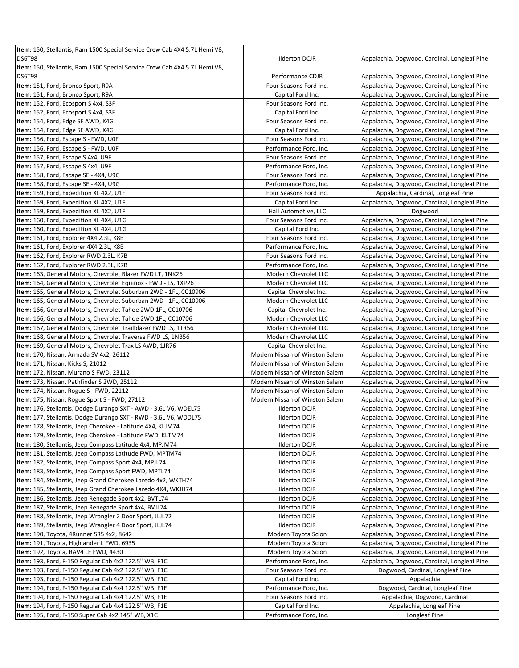| Item: 150, Stellantis, Ram 1500 Special Service Crew Cab 4X4 5.7L Hemi V8, |                                |                                              |
|----------------------------------------------------------------------------|--------------------------------|----------------------------------------------|
| <b>DS6T98</b>                                                              | <b>Ilderton DCJR</b>           | Appalachia, Dogwood, Cardinal, Longleaf Pine |
| Item: 150, Stellantis, Ram 1500 Special Service Crew Cab 4X4 5.7L Hemi V8, |                                |                                              |
| <b>DS6T98</b>                                                              | Performance CDJR               | Appalachia, Dogwood, Cardinal, Longleaf Pine |
| Item: 151, Ford, Bronco Sport, R9A                                         | Four Seasons Ford Inc.         | Appalachia, Dogwood, Cardinal, Longleaf Pine |
| Item: 151, Ford, Bronco Sport, R9A                                         | Capital Ford Inc.              | Appalachia, Dogwood, Cardinal, Longleaf Pine |
| Item: 152, Ford, Ecosport S 4x4, S3F                                       | Four Seasons Ford Inc.         | Appalachia, Dogwood, Cardinal, Longleaf Pine |
| Item: 152, Ford, Ecosport S 4x4, S3F                                       | Capital Ford Inc.              | Appalachia, Dogwood, Cardinal, Longleaf Pine |
| Item: 154, Ford, Edge SE AWD, K4G                                          |                                | Appalachia, Dogwood, Cardinal, Longleaf Pine |
|                                                                            | Four Seasons Ford Inc.         |                                              |
| Item: 154, Ford, Edge SE AWD, K4G                                          | Capital Ford Inc.              | Appalachia, Dogwood, Cardinal, Longleaf Pine |
| Item: 156, Ford, Escape S - FWD, UOF                                       | Four Seasons Ford Inc.         | Appalachia, Dogwood, Cardinal, Longleaf Pine |
| Item: 156, Ford, Escape S - FWD, UOF                                       | Performance Ford, Inc.         | Appalachia, Dogwood, Cardinal, Longleaf Pine |
| Item: 157, Ford, Escape S 4x4, U9F                                         | Four Seasons Ford Inc.         | Appalachia, Dogwood, Cardinal, Longleaf Pine |
| Item: 157, Ford, Escape S 4x4, U9F                                         | Performance Ford, Inc.         | Appalachia, Dogwood, Cardinal, Longleaf Pine |
| <b>Item:</b> 158, Ford, Escape SE - 4X4, U9G                               | Four Seasons Ford Inc.         | Appalachia, Dogwood, Cardinal, Longleaf Pine |
| Item: 158, Ford, Escape SE - 4X4, U9G                                      | Performance Ford, Inc.         | Appalachia, Dogwood, Cardinal, Longleaf Pine |
| Item: 159, Ford, Expedition XL 4X2, U1F                                    | Four Seasons Ford Inc.         | Appalachia, Cardinal, Longleaf Pine          |
| Item: 159, Ford, Expedition XL 4X2, U1F                                    | Capital Ford Inc.              | Appalachia, Dogwood, Cardinal, Longleaf Pine |
| Item: 159, Ford, Expedition XL 4X2, U1F                                    | Hall Automotive, LLC           | Dogwood                                      |
| <b>Item:</b> 160, Ford, Expedition XL 4X4, U1G                             | Four Seasons Ford Inc.         | Appalachia, Dogwood, Cardinal, Longleaf Pine |
| Item: 160, Ford, Expedition XL 4X4, U1G                                    | Capital Ford Inc.              | Appalachia, Dogwood, Cardinal, Longleaf Pine |
| Item: 161, Ford, Explorer 4X4 2.3L, K8B                                    | Four Seasons Ford Inc.         | Appalachia, Dogwood, Cardinal, Longleaf Pine |
| Item: 161, Ford, Explorer 4X4 2.3L, K8B                                    | Performance Ford, Inc.         | Appalachia, Dogwood, Cardinal, Longleaf Pine |
| Item: 162, Ford, Explorer RWD 2.3L, K7B                                    | Four Seasons Ford Inc.         | Appalachia, Dogwood, Cardinal, Longleaf Pine |
| Item: 162, Ford, Explorer RWD 2.3L, K7B                                    | Performance Ford, Inc.         | Appalachia, Dogwood, Cardinal, Longleaf Pine |
| Item: 163, General Motors, Chevrolet Blazer FWD LT, 1NK26                  | Modern Chevrolet LLC           | Appalachia, Dogwood, Cardinal, Longleaf Pine |
| Item: 164, General Motors, Chevrolet Equinox - FWD - LS, 1XP26             | Modern Chevrolet LLC           | Appalachia, Dogwood, Cardinal, Longleaf Pine |
| Item: 165, General Motors, Chevrolet Suburban 2WD - 1FL, CC10906           | Capital Chevrolet Inc.         | Appalachia, Dogwood, Cardinal, Longleaf Pine |
| Item: 165, General Motors, Chevrolet Suburban 2WD - 1FL, CC10906           | Modern Chevrolet LLC           | Appalachia, Dogwood, Cardinal, Longleaf Pine |
| <b>Item:</b> 166, General Motors, Chevrolet Tahoe 2WD 1FL, CC10706         | Capital Chevrolet Inc.         | Appalachia, Dogwood, Cardinal, Longleaf Pine |
| Item: 166, General Motors, Chevrolet Tahoe 2WD 1FL, CC10706                | Modern Chevrolet LLC           | Appalachia, Dogwood, Cardinal, Longleaf Pine |
| <b>Item:</b> 167, General Motors, Chevrolet Trailblazer FWD LS, 1TR56      | Modern Chevrolet LLC           | Appalachia, Dogwood, Cardinal, Longleaf Pine |
| Item: 168, General Motors, Chevrolet Traverse FWD LS, 1NB56                | Modern Chevrolet LLC           | Appalachia, Dogwood, Cardinal, Longleaf Pine |
| Item: 169, General Motors, Chevrolet Trax LS AWD, 1JR76                    | Capital Chevrolet Inc.         | Appalachia, Dogwood, Cardinal, Longleaf Pine |
|                                                                            |                                |                                              |
| <b>Item:</b> 170, Nissan, Armada SV 4x2, 26112                             | Modern Nissan of Winston Salem | Appalachia, Dogwood, Cardinal, Longleaf Pine |
| <b>Item:</b> 171, Nissan, Kicks S, 21012                                   | Modern Nissan of Winston Salem | Appalachia, Dogwood, Cardinal, Longleaf Pine |
| Item: 172, Nissan, Murano S FWD, 23112                                     | Modern Nissan of Winston Salem | Appalachia, Dogwood, Cardinal, Longleaf Pine |
| Item: 173, Nissan, Pathfinder S 2WD, 25112                                 | Modern Nissan of Winston Salem | Appalachia, Dogwood, Cardinal, Longleaf Pine |
| Item: 174, Nissan, Rogue S - FWD, 22112                                    | Modern Nissan of Winston Salem | Appalachia, Dogwood, Cardinal, Longleaf Pine |
| Item: 175, Nissan, Rogue Sport S - FWD, 27112                              | Modern Nissan of Winston Salem | Appalachia, Dogwood, Cardinal, Longleaf Pine |
| Item: 176, Stellantis, Dodge Durango SXT - AWD - 3.6L V6, WDEL75           | <b>Ilderton DCJR</b>           | Appalachia, Dogwood, Cardinal, Longleaf Pine |
| Item: 177, Stellantis, Dodge Durango SXT - RWD - 3.6L V6, WDDL75           | <b>Ilderton DCJR</b>           | Appalachia, Dogwood, Cardinal, Longleaf Pine |
| <b>Item:</b> 178, Stellantis, Jeep Cherokee - Latitude 4X4, KLJM74         | <b>Ilderton DCJR</b>           | Appalachia, Dogwood, Cardinal, Longleaf Pine |
| Item: 179, Stellantis, Jeep Cherokee - Latitude FWD, KLTM74                | <b>Ilderton DCJR</b>           | Appalachia, Dogwood, Cardinal, Longleaf Pine |
| Item: 180, Stellantis, Jeep Compass Latitude 4x4, MPJM74                   | <b>Ilderton DCJR</b>           | Appalachia, Dogwood, Cardinal, Longleaf Pine |
| Item: 181, Stellantis, Jeep Compass Latitude FWD, MPTM74                   | <b>Ilderton DCJR</b>           | Appalachia, Dogwood, Cardinal, Longleaf Pine |
| <b>Item:</b> 182, Stellantis, Jeep Compass Sport 4x4, MPJL74               | <b>Ilderton DCJR</b>           | Appalachia, Dogwood, Cardinal, Longleaf Pine |
| Item: 183, Stellantis, Jeep Compass Sport FWD, MPTL74                      | <b>Ilderton DCJR</b>           | Appalachia, Dogwood, Cardinal, Longleaf Pine |
| Item: 184, Stellantis, Jeep Grand Cherokee Laredo 4x2, WKTH74              | <b>Ilderton DCJR</b>           | Appalachia, Dogwood, Cardinal, Longleaf Pine |
| Item: 185, Stellantis, Jeep Grand Cherokee Laredo 4X4, WKJH74              | <b>Ilderton DCJR</b>           | Appalachia, Dogwood, Cardinal, Longleaf Pine |
| Item: 186, Stellantis, Jeep Renegade Sport 4x2, BVTL74                     | <b>Ilderton DCJR</b>           | Appalachia, Dogwood, Cardinal, Longleaf Pine |
| Item: 187, Stellantis, Jeep Renegade Sport 4x4, BVJL74                     | <b>Ilderton DCJR</b>           | Appalachia, Dogwood, Cardinal, Longleaf Pine |
| Item: 188, Stellantis, Jeep Wrangler 2 Door Sport, JLJL72                  | <b>Ilderton DCJR</b>           | Appalachia, Dogwood, Cardinal, Longleaf Pine |
| Item: 189, Stellantis, Jeep Wrangler 4 Door Sport, JLJL74                  | <b>Ilderton DCJR</b>           | Appalachia, Dogwood, Cardinal, Longleaf Pine |
| <b>Item:</b> 190, Toyota, 4Runner SR5 4x2, 8642                            | Modern Toyota Scion            | Appalachia, Dogwood, Cardinal, Longleaf Pine |
| Item: 191, Toyota, Highlander L FWD, 6935                                  | Modern Toyota Scion            | Appalachia, Dogwood, Cardinal, Longleaf Pine |
| <b>Item: 192, Toyota, RAV4 LE FWD, 4430</b>                                | Modern Toyota Scion            | Appalachia, Dogwood, Cardinal, Longleaf Pine |
| Item: 193, Ford, F-150 Regular Cab 4x2 122.5" WB, F1C                      | Performance Ford, Inc.         | Appalachia, Dogwood, Cardinal, Longleaf Pine |
| Item: 193, Ford, F-150 Regular Cab 4x2 122.5" WB, F1C                      | Four Seasons Ford Inc.         | Dogwood, Cardinal, Longleaf Pine             |
| <b>Item: 193, Ford, F-150 Regular Cab 4x2 122.5" WB, F1C</b>               | Capital Ford Inc.              | Appalachia                                   |
| Item: 194, Ford, F-150 Regular Cab 4x4 122.5" WB, F1E                      | Performance Ford, Inc.         | Dogwood, Cardinal, Longleaf Pine             |
| Item: 194, Ford, F-150 Regular Cab 4x4 122.5" WB, F1E                      | Four Seasons Ford Inc.         | Appalachia, Dogwood, Cardinal                |
| Item: 194, Ford, F-150 Regular Cab 4x4 122.5" WB, F1E                      | Capital Ford Inc.              | Appalachia, Longleaf Pine                    |
| Item: 195, Ford, F-150 Super Cab 4x2 145" WB, X1C                          | Performance Ford, Inc.         | Longleaf Pine                                |
|                                                                            |                                |                                              |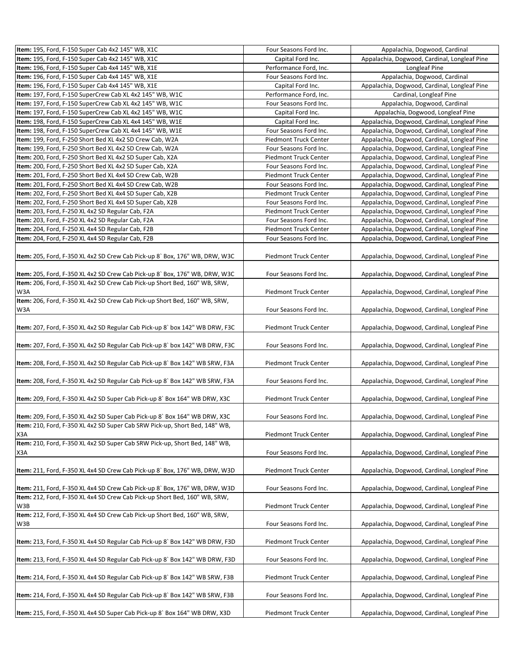| Item: 195, Ford, F-150 Super Cab 4x2 145" WB, X1C                                 | Four Seasons Ford Inc.       | Appalachia, Dogwood, Cardinal                |
|-----------------------------------------------------------------------------------|------------------------------|----------------------------------------------|
| Item: 195, Ford, F-150 Super Cab 4x2 145" WB, X1C                                 | Capital Ford Inc.            | Appalachia, Dogwood, Cardinal, Longleaf Pine |
| Item: 196, Ford, F-150 Super Cab 4x4 145" WB, X1E                                 | Performance Ford, Inc.       | Longleaf Pine                                |
| Item: 196, Ford, F-150 Super Cab 4x4 145" WB, X1E                                 | Four Seasons Ford Inc.       | Appalachia, Dogwood, Cardinal                |
| Item: 196, Ford, F-150 Super Cab 4x4 145" WB, X1E                                 | Capital Ford Inc.            | Appalachia, Dogwood, Cardinal, Longleaf Pine |
| Item: 197, Ford, F-150 SuperCrew Cab XL 4x2 145" WB, W1C                          | Performance Ford, Inc.       | Cardinal, Longleaf Pine                      |
| Item: 197, Ford, F-150 SuperCrew Cab XL 4x2 145" WB, W1C                          | Four Seasons Ford Inc.       | Appalachia, Dogwood, Cardinal                |
| Item: 197, Ford, F-150 SuperCrew Cab XL 4x2 145" WB, W1C                          | Capital Ford Inc.            | Appalachia, Dogwood, Longleaf Pine           |
| Item: 198, Ford, F-150 SuperCrew Cab XL 4x4 145" WB, W1E                          | Capital Ford Inc.            | Appalachia, Dogwood, Cardinal, Longleaf Pine |
| Item: 198, Ford, F-150 SuperCrew Cab XL 4x4 145" WB, W1E                          | Four Seasons Ford Inc.       | Appalachia, Dogwood, Cardinal, Longleaf Pine |
| Item: 199, Ford, F-250 Short Bed XL 4x2 SD Crew Cab, W2A                          | <b>Piedmont Truck Center</b> | Appalachia, Dogwood, Cardinal, Longleaf Pine |
| Item: 199, Ford, F-250 Short Bed XL 4x2 SD Crew Cab, W2A                          | Four Seasons Ford Inc.       | Appalachia, Dogwood, Cardinal, Longleaf Pine |
| Item: 200, Ford, F-250 Short Bed XL 4x2 SD Super Cab, X2A                         | <b>Piedmont Truck Center</b> | Appalachia, Dogwood, Cardinal, Longleaf Pine |
| Item: 200, Ford, F-250 Short Bed XL 4x2 SD Super Cab, X2A                         | Four Seasons Ford Inc.       | Appalachia, Dogwood, Cardinal, Longleaf Pine |
| Item: 201, Ford, F-250 Short Bed XL 4x4 SD Crew Cab, W2B                          | Piedmont Truck Center        | Appalachia, Dogwood, Cardinal, Longleaf Pine |
| Item: 201, Ford, F-250 Short Bed XL 4x4 SD Crew Cab, W2B                          | Four Seasons Ford Inc.       | Appalachia, Dogwood, Cardinal, Longleaf Pine |
| Item: 202, Ford, F-250 Short Bed XL 4x4 SD Super Cab, X2B                         | Piedmont Truck Center        | Appalachia, Dogwood, Cardinal, Longleaf Pine |
| Item: 202, Ford, F-250 Short Bed XL 4x4 SD Super Cab, X2B                         | Four Seasons Ford Inc.       | Appalachia, Dogwood, Cardinal, Longleaf Pine |
| Item: 203, Ford, F-250 XL 4x2 SD Regular Cab, F2A                                 | <b>Piedmont Truck Center</b> | Appalachia, Dogwood, Cardinal, Longleaf Pine |
| Item: 203, Ford, F-250 XL 4x2 SD Regular Cab, F2A                                 | Four Seasons Ford Inc.       | Appalachia, Dogwood, Cardinal, Longleaf Pine |
| Item: 204, Ford, F-250 XL 4x4 SD Regular Cab, F2B                                 | <b>Piedmont Truck Center</b> | Appalachia, Dogwood, Cardinal, Longleaf Pine |
| Item: 204, Ford, F-250 XL 4x4 SD Regular Cab, F2B                                 | Four Seasons Ford Inc.       | Appalachia, Dogwood, Cardinal, Longleaf Pine |
| Item: 205, Ford, F-350 XL 4x2 SD Crew Cab Pick-up 8` Box, 176" WB, DRW, W3C       | Piedmont Truck Center        | Appalachia, Dogwood, Cardinal, Longleaf Pine |
|                                                                                   |                              |                                              |
| Item: 205, Ford, F-350 XL 4x2 SD Crew Cab Pick-up 8` Box, 176" WB, DRW, W3C       | Four Seasons Ford Inc.       | Appalachia, Dogwood, Cardinal, Longleaf Pine |
| Item: 206, Ford, F-350 XL 4x2 SD Crew Cab Pick-up Short Bed, 160" WB, SRW,        |                              |                                              |
| W3A                                                                               | Piedmont Truck Center        | Appalachia, Dogwood, Cardinal, Longleaf Pine |
| Item: 206, Ford, F-350 XL 4x2 SD Crew Cab Pick-up Short Bed, 160" WB, SRW,<br>W3A | Four Seasons Ford Inc.       | Appalachia, Dogwood, Cardinal, Longleaf Pine |
|                                                                                   |                              |                                              |
| Item: 207, Ford, F-350 XL 4x2 SD Regular Cab Pick-up 8` box 142" WB DRW, F3C      | <b>Piedmont Truck Center</b> | Appalachia, Dogwood, Cardinal, Longleaf Pine |
| Item: 207, Ford, F-350 XL 4x2 SD Regular Cab Pick-up 8` box 142" WB DRW, F3C      | Four Seasons Ford Inc.       | Appalachia, Dogwood, Cardinal, Longleaf Pine |
| Item: 208, Ford, F-350 XL 4x2 SD Regular Cab Pick-up 8` Box 142" WB SRW, F3A      | <b>Piedmont Truck Center</b> | Appalachia, Dogwood, Cardinal, Longleaf Pine |
| Item: 208, Ford, F-350 XL 4x2 SD Regular Cab Pick-up 8`Box 142" WB SRW, F3A       | Four Seasons Ford Inc.       | Appalachia, Dogwood, Cardinal, Longleaf Pine |
| Item: 209, Ford, F-350 XL 4x2 SD Super Cab Pick-up 8` Box 164" WB DRW, X3C        | <b>Piedmont Truck Center</b> | Appalachia, Dogwood, Cardinal, Longleaf Pine |
| Item: 209, Ford, F-350 XL 4x2 SD Super Cab Pick-up 8` Box 164" WB DRW, X3C        | Four Seasons Ford Inc.       | Appalachia, Dogwood, Cardinal, Longleaf Pine |
| Item: 210, Ford, F-350 XL 4x2 SD Super Cab SRW Pick-up, Short Bed, 148" WB,       |                              |                                              |
| X3A                                                                               | Piedmont Truck Center        | Appalachia, Dogwood, Cardinal, Longleaf Pine |
| Item: 210, Ford, F-350 XL 4x2 SD Super Cab SRW Pick-up, Short Bed, 148" WB,       |                              |                                              |
| X3A                                                                               | Four Seasons Ford Inc.       | Appalachia, Dogwood, Cardinal, Longleaf Pine |
|                                                                                   |                              |                                              |
| Item: 211, Ford, F-350 XL 4x4 SD Crew Cab Pick-up 8`Box, 176" WB, DRW, W3D        | <b>Piedmont Truck Center</b> | Appalachia, Dogwood, Cardinal, Longleaf Pine |
| Item: 211, Ford, F-350 XL 4x4 SD Crew Cab Pick-up 8` Box, 176" WB, DRW, W3D       | Four Seasons Ford Inc.       | Appalachia, Dogwood, Cardinal, Longleaf Pine |
| Item: 212, Ford, F-350 XL 4x4 SD Crew Cab Pick-up Short Bed, 160" WB, SRW,        |                              |                                              |
| W3B                                                                               | Piedmont Truck Center        | Appalachia, Dogwood, Cardinal, Longleaf Pine |
| Item: 212, Ford, F-350 XL 4x4 SD Crew Cab Pick-up Short Bed, 160" WB, SRW,        |                              |                                              |
| W3B                                                                               | Four Seasons Ford Inc.       | Appalachia, Dogwood, Cardinal, Longleaf Pine |
| Item: 213, Ford, F-350 XL 4x4 SD Regular Cab Pick-up 8` Box 142" WB DRW, F3D      | <b>Piedmont Truck Center</b> | Appalachia, Dogwood, Cardinal, Longleaf Pine |
| Item: 213, Ford, F-350 XL 4x4 SD Regular Cab Pick-up 8` Box 142" WB DRW, F3D      | Four Seasons Ford Inc.       | Appalachia, Dogwood, Cardinal, Longleaf Pine |
|                                                                                   |                              |                                              |
| Item: 214, Ford, F-350 XL 4x4 SD Regular Cab Pick-up 8`Box 142" WB SRW, F3B       | <b>Piedmont Truck Center</b> | Appalachia, Dogwood, Cardinal, Longleaf Pine |
| Item: 214, Ford, F-350 XL 4x4 SD Regular Cab Pick-up 8` Box 142" WB SRW, F3B      | Four Seasons Ford Inc.       | Appalachia, Dogwood, Cardinal, Longleaf Pine |
| Item: 215, Ford, F-350 XL 4x4 SD Super Cab Pick-up 8` Box 164" WB DRW, X3D        | Piedmont Truck Center        | Appalachia, Dogwood, Cardinal, Longleaf Pine |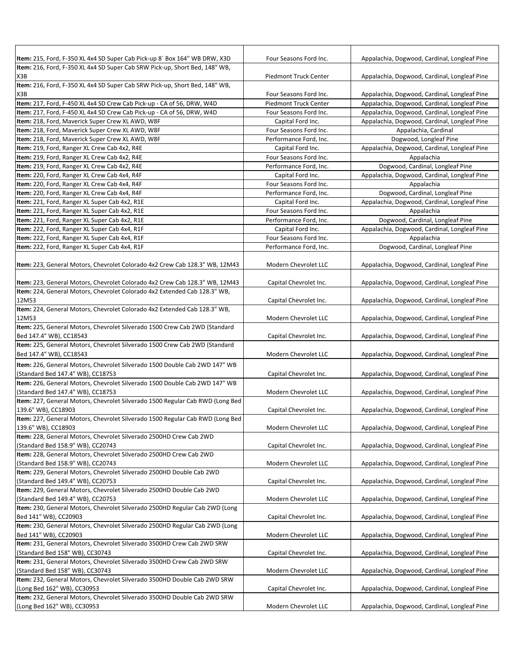| Item: 215, Ford, F-350 XL 4x4 SD Super Cab Pick-up 8` Box 164" WB DRW, X3D                                      | Four Seasons Ford Inc.       | Appalachia, Dogwood, Cardinal, Longleaf Pine |
|-----------------------------------------------------------------------------------------------------------------|------------------------------|----------------------------------------------|
| Item: 216, Ford, F-350 XL 4x4 SD Super Cab SRW Pick-up, Short Bed, 148" WB,                                     |                              |                                              |
| X3B                                                                                                             | <b>Piedmont Truck Center</b> | Appalachia, Dogwood, Cardinal, Longleaf Pine |
| Item: 216, Ford, F-350 XL 4x4 SD Super Cab SRW Pick-up, Short Bed, 148" WB,                                     |                              |                                              |
| X3B                                                                                                             | Four Seasons Ford Inc.       | Appalachia, Dogwood, Cardinal, Longleaf Pine |
| Item: 217, Ford, F-450 XL 4x4 SD Crew Cab Pick-up - CA of 56, DRW, W4D                                          | <b>Piedmont Truck Center</b> | Appalachia, Dogwood, Cardinal, Longleaf Pine |
| Item: 217, Ford, F-450 XL 4x4 SD Crew Cab Pick-up - CA of 56, DRW, W4D                                          | Four Seasons Ford Inc.       | Appalachia, Dogwood, Cardinal, Longleaf Pine |
| Item: 218, Ford, Maverick Super Crew XL AWD, W8F                                                                | Capital Ford Inc.            | Appalachia, Dogwood, Cardinal, Longleaf Pine |
| Item: 218, Ford, Maverick Super Crew XL AWD, W8F                                                                | Four Seasons Ford Inc.       | Appalachia, Cardinal                         |
| Item: 218, Ford, Maverick Super Crew XL AWD, W8F                                                                | Performance Ford, Inc.       | Dogwood, Longleaf Pine                       |
| Item: 219, Ford, Ranger XL Crew Cab 4x2, R4E                                                                    | Capital Ford Inc.            | Appalachia, Dogwood, Cardinal, Longleaf Pine |
| Item: 219, Ford, Ranger XL Crew Cab 4x2, R4E                                                                    | Four Seasons Ford Inc.       | Appalachia                                   |
| Item: 219, Ford, Ranger XL Crew Cab 4x2, R4E                                                                    | Performance Ford, Inc.       | Dogwood, Cardinal, Longleaf Pine             |
| Item: 220, Ford, Ranger XL Crew Cab 4x4, R4F                                                                    | Capital Ford Inc.            | Appalachia, Dogwood, Cardinal, Longleaf Pine |
| Item: 220, Ford, Ranger XL Crew Cab 4x4, R4F                                                                    | Four Seasons Ford Inc.       | Appalachia                                   |
| Item: 220, Ford, Ranger XL Crew Cab 4x4, R4F                                                                    | Performance Ford, Inc.       | Dogwood, Cardinal, Longleaf Pine             |
| Item: 221, Ford, Ranger XL Super Cab 4x2, R1E                                                                   | Capital Ford Inc.            | Appalachia, Dogwood, Cardinal, Longleaf Pine |
| Item: 221, Ford, Ranger XL Super Cab 4x2, R1E                                                                   | Four Seasons Ford Inc.       | Appalachia                                   |
| Item: 221, Ford, Ranger XL Super Cab 4x2, R1E                                                                   | Performance Ford, Inc.       | Dogwood, Cardinal, Longleaf Pine             |
| Item: 222, Ford, Ranger XL Super Cab 4x4, R1F                                                                   | Capital Ford Inc.            | Appalachia, Dogwood, Cardinal, Longleaf Pine |
| Item: 222, Ford, Ranger XL Super Cab 4x4, R1F                                                                   | Four Seasons Ford Inc.       | Appalachia                                   |
| Item: 222, Ford, Ranger XL Super Cab 4x4, R1F                                                                   | Performance Ford, Inc.       | Dogwood, Cardinal, Longleaf Pine             |
|                                                                                                                 |                              |                                              |
| Item: 223, General Motors, Chevrolet Colorado 4x2 Crew Cab 128.3" WB, 12M43                                     | Modern Chevrolet LLC         | Appalachia, Dogwood, Cardinal, Longleaf Pine |
|                                                                                                                 |                              |                                              |
| Item: 223, General Motors, Chevrolet Colorado 4x2 Crew Cab 128.3" WB, 12M43                                     | Capital Chevrolet Inc.       | Appalachia, Dogwood, Cardinal, Longleaf Pine |
| Item: 224, General Motors, Chevrolet Colorado 4x2 Extended Cab 128.3" WB,<br>12M53                              |                              |                                              |
| Item: 224, General Motors, Chevrolet Colorado 4x2 Extended Cab 128.3" WB,                                       | Capital Chevrolet Inc.       | Appalachia, Dogwood, Cardinal, Longleaf Pine |
| 12M53                                                                                                           | Modern Chevrolet LLC         | Appalachia, Dogwood, Cardinal, Longleaf Pine |
| Item: 225, General Motors, Chevrolet Silverado 1500 Crew Cab 2WD (Standard                                      |                              |                                              |
| Bed 147.4" WB), CC18543                                                                                         | Capital Chevrolet Inc.       | Appalachia, Dogwood, Cardinal, Longleaf Pine |
| Item: 225, General Motors, Chevrolet Silverado 1500 Crew Cab 2WD (Standard                                      |                              |                                              |
| Bed 147.4" WB), CC18543                                                                                         | Modern Chevrolet LLC         | Appalachia, Dogwood, Cardinal, Longleaf Pine |
|                                                                                                                 |                              |                                              |
| Item: 226, General Motors, Chevrolet Silverado 1500 Double Cab 2WD 147" WB                                      |                              |                                              |
| (Standard Bed 147.4" WB), CC18753                                                                               | Capital Chevrolet Inc.       | Appalachia, Dogwood, Cardinal, Longleaf Pine |
| Item: 226, General Motors, Chevrolet Silverado 1500 Double Cab 2WD 147" WB<br>(Standard Bed 147.4" WB), CC18753 | Modern Chevrolet LLC         | Appalachia, Dogwood, Cardinal, Longleaf Pine |
| Item: 227, General Motors, Chevrolet Silverado 1500 Regular Cab RWD (Long Bed                                   |                              |                                              |
| 139.6" WB), CC18903                                                                                             |                              | Appalachia, Dogwood, Cardinal, Longleaf Pine |
| Item: 227, General Motors, Chevrolet Silverado 1500 Regular Cab RWD (Long Bed                                   | Capital Chevrolet Inc.       |                                              |
| 139.6" WB), CC18903                                                                                             | Modern Chevrolet LLC         | Appalachia, Dogwood, Cardinal, Longleaf Pine |
| Item: 228, General Motors, Chevrolet Silverado 2500HD Crew Cab 2WD                                              |                              |                                              |
| (Standard Bed 158.9" WB), CC20743                                                                               | Capital Chevrolet Inc.       | Appalachia, Dogwood, Cardinal, Longleaf Pine |
| Item: 228, General Motors, Chevrolet Silverado 2500HD Crew Cab 2WD                                              |                              |                                              |
| (Standard Bed 158.9" WB), CC20743                                                                               | Modern Chevrolet LLC         | Appalachia, Dogwood, Cardinal, Longleaf Pine |
| Item: 229, General Motors, Chevrolet Silverado 2500HD Double Cab 2WD                                            |                              |                                              |
| (Standard Bed 149.4" WB), CC20753                                                                               | Capital Chevrolet Inc.       | Appalachia, Dogwood, Cardinal, Longleaf Pine |
| Item: 229, General Motors, Chevrolet Silverado 2500HD Double Cab 2WD                                            |                              |                                              |
| (Standard Bed 149.4" WB), CC20753                                                                               | Modern Chevrolet LLC         | Appalachia, Dogwood, Cardinal, Longleaf Pine |
| Item: 230, General Motors, Chevrolet Silverado 2500HD Regular Cab 2WD (Long                                     |                              |                                              |
| Bed 141" WB), CC20903                                                                                           | Capital Chevrolet Inc.       | Appalachia, Dogwood, Cardinal, Longleaf Pine |
| Item: 230, General Motors, Chevrolet Silverado 2500HD Regular Cab 2WD (Long                                     |                              |                                              |
| Bed 141" WB), CC20903                                                                                           | Modern Chevrolet LLC         | Appalachia, Dogwood, Cardinal, Longleaf Pine |
| Item: 231, General Motors, Chevrolet Silverado 3500HD Crew Cab 2WD SRW                                          |                              |                                              |
| (Standard Bed 158" WB), CC30743                                                                                 | Capital Chevrolet Inc.       | Appalachia, Dogwood, Cardinal, Longleaf Pine |
| Item: 231, General Motors, Chevrolet Silverado 3500HD Crew Cab 2WD SRW                                          |                              |                                              |
| (Standard Bed 158" WB), CC30743                                                                                 | Modern Chevrolet LLC         | Appalachia, Dogwood, Cardinal, Longleaf Pine |
| Item: 232, General Motors, Chevrolet Silverado 3500HD Double Cab 2WD SRW                                        |                              |                                              |
| (Long Bed 162" WB), CC30953                                                                                     | Capital Chevrolet Inc.       | Appalachia, Dogwood, Cardinal, Longleaf Pine |
| Item: 232, General Motors, Chevrolet Silverado 3500HD Double Cab 2WD SRW                                        |                              |                                              |
| (Long Bed 162" WB), CC30953                                                                                     | Modern Chevrolet LLC         | Appalachia, Dogwood, Cardinal, Longleaf Pine |
|                                                                                                                 |                              |                                              |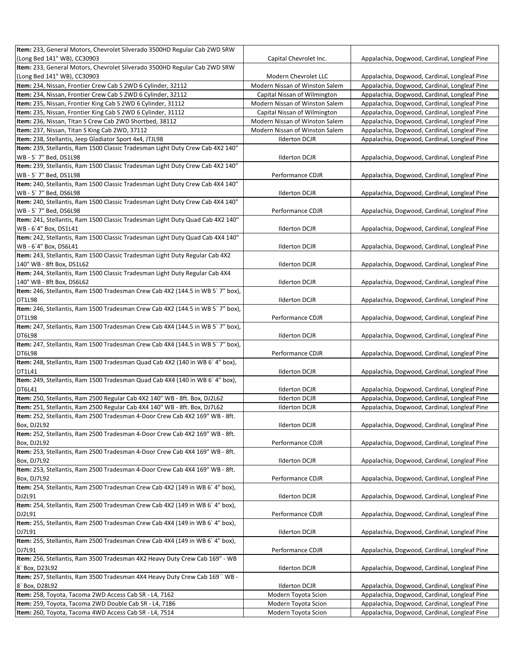| Item: 233, General Motors, Chevrolet Silverado 3500HD Regular Cab 2WD SRW                   |                                |                                              |
|---------------------------------------------------------------------------------------------|--------------------------------|----------------------------------------------|
| (Long Bed 141" WB), CC30903                                                                 | Capital Chevrolet Inc.         | Appalachia, Dogwood, Cardinal, Longleaf Pine |
| Item: 233, General Motors, Chevrolet Silverado 3500HD Regular Cab 2WD SRW                   |                                |                                              |
| (Long Bed 141" WB), CC30903                                                                 | Modern Chevrolet LLC           | Appalachia, Dogwood, Cardinal, Longleaf Pine |
| Item: 234, Nissan, Frontier Crew Cab S 2WD 6 Cylinder, 32112                                | Modern Nissan of Winston Salem | Appalachia, Dogwood, Cardinal, Longleaf Pine |
| Item: 234, Nissan, Frontier Crew Cab S 2WD 6 Cylinder, 32112                                | Capital Nissan of Wilmington   | Appalachia, Dogwood, Cardinal, Longleaf Pine |
| Item: 235, Nissan, Frontier King Cab S 2WD 6 Cylinder, 31112                                | Modern Nissan of Winston Salem | Appalachia, Dogwood, Cardinal, Longleaf Pine |
| Item: 235, Nissan, Frontier King Cab S 2WD 6 Cylinder, 31112                                | Capital Nissan of Wilmington   | Appalachia, Dogwood, Cardinal, Longleaf Pine |
| Item: 236, Nissan, Titan S Crew Cab 2WD Shortbed, 38112                                     | Modern Nissan of Winston Salem | Appalachia, Dogwood, Cardinal, Longleaf Pine |
| Item: 237, Nissan, Titan S King Cab 2WD, 37112                                              | Modern Nissan of Winston Salem | Appalachia, Dogwood, Cardinal, Longleaf Pine |
| Item: 238, Stellantis, Jeep Gladiator Sport 4x4, JTJL98                                     | <b>Ilderton DCJR</b>           | Appalachia, Dogwood, Cardinal, Longleaf Pine |
| Item: 239, Stellantis, Ram 1500 Classic Tradesman Light Duty Crew Cab 4X2 140"              |                                |                                              |
| WB - 5`7" Bed, DS1L98                                                                       | <b>Ilderton DCJR</b>           | Appalachia, Dogwood, Cardinal, Longleaf Pine |
| Item: 239, Stellantis, Ram 1500 Classic Tradesman Light Duty Crew Cab 4X2 140"              |                                |                                              |
| WB - 5`7" Bed, DS1L98                                                                       | Performance CDJR               | Appalachia, Dogwood, Cardinal, Longleaf Pine |
| Item: 240, Stellantis, Ram 1500 Classic Tradesman Light Duty Crew Cab 4X4 140"              |                                |                                              |
| WB - 5`7" Bed, DS6L98                                                                       | <b>Ilderton DCJR</b>           | Appalachia, Dogwood, Cardinal, Longleaf Pine |
| Item: 240, Stellantis, Ram 1500 Classic Tradesman Light Duty Crew Cab 4X4 140"              |                                |                                              |
| WB - 5`7" Bed, DS6L98                                                                       | Performance CDJR               | Appalachia, Dogwood, Cardinal, Longleaf Pine |
| Item: 241, Stellantis, Ram 1500 Classic Tradesman Light Duty Quad Cab 4X2 140"              |                                |                                              |
| WB-6'4" Box, DS1L41                                                                         | <b>Ilderton DCJR</b>           | Appalachia, Dogwood, Cardinal, Longleaf Pine |
| Item: 242, Stellantis, Ram 1500 Classic Tradesman Light Duty Quad Cab 4X4 140"              |                                |                                              |
| WB-6'4" Box, DS6L41                                                                         | <b>Ilderton DCJR</b>           | Appalachia, Dogwood, Cardinal, Longleaf Pine |
| Item: 243, Stellantis, Ram 1500 Classic Tradesman Light Duty Regular Cab 4X2                |                                |                                              |
| 140" WB - 8ft Box, DS1L62                                                                   | <b>Ilderton DCJR</b>           | Appalachia, Dogwood, Cardinal, Longleaf Pine |
| Item: 244, Stellantis, Ram 1500 Classic Tradesman Light Duty Regular Cab 4X4                |                                |                                              |
| 140" WB - 8ft Box, DS6L62                                                                   | <b>Ilderton DCJR</b>           | Appalachia, Dogwood, Cardinal, Longleaf Pine |
| Item: 246, Stellantis, Ram 1500 Tradesman Crew Cab 4X2 (144.5 in WB 5`7" box),              |                                |                                              |
| DT1L98                                                                                      | <b>Ilderton DCJR</b>           | Appalachia, Dogwood, Cardinal, Longleaf Pine |
| Item: 246, Stellantis, Ram 1500 Tradesman Crew Cab 4X2 (144.5 in WB 5`7" box),              |                                |                                              |
| DT1L98                                                                                      | Performance CDJR               | Appalachia, Dogwood, Cardinal, Longleaf Pine |
| Item: 247, Stellantis, Ram 1500 Tradesman Crew Cab 4X4 (144.5 in WB 5`7" box),              |                                |                                              |
| <b>DT6L98</b>                                                                               | <b>Ilderton DCJR</b>           | Appalachia, Dogwood, Cardinal, Longleaf Pine |
| Item: 247, Stellantis, Ram 1500 Tradesman Crew Cab 4X4 (144.5 in WB 5`7" box),              |                                |                                              |
| DT6L98                                                                                      | Performance CDJR               | Appalachia, Dogwood, Cardinal, Longleaf Pine |
| Item: 248, Stellantis, Ram 1500 Tradesman Quad Cab 4X2 (140 in WB 6` 4" box),               |                                |                                              |
| DT1L41                                                                                      | <b>Ilderton DCJR</b>           | Appalachia, Dogwood, Cardinal, Longleaf Pine |
| Item: 249, Stellantis, Ram 1500 Tradesman Quad Cab 4X4 (140 in WB 6` 4" box),               |                                |                                              |
| DT6L41                                                                                      | <b>Ilderton DCJR</b>           | Appalachia, Dogwood, Cardinal, Longleaf Pine |
| Item: 250, Stellantis, Ram 2500 Regular Cab 4X2 140" WB - 8ft. Box, DJ2L62                  | <b>Ilderton DCJR</b>           | Appalachia, Dogwood, Cardinal, Longleaf Pine |
| Item: 251, Stellantis, Ram 2500 Regular Cab 4X4 140" WB - 8ft. Box, DJ7L62                  | <b>Ilderton DCJR</b>           | Appalachia, Dogwood, Cardinal, Longleaf Pine |
| Item: 252, Stellantis, Ram 2500 Tradesman 4-Door Crew Cab 4X2 169" WB - 8ft.                |                                |                                              |
| Box, DJ2L92                                                                                 | <b>Ilderton DCJR</b>           | Appalachia, Dogwood, Cardinal, Longleaf Pine |
| Item: 252, Stellantis, Ram 2500 Tradesman 4-Door Crew Cab 4X2 169" WB - 8ft.                |                                |                                              |
| Box, DJ2L92<br>Item: 253, Stellantis, Ram 2500 Tradesman 4-Door Crew Cab 4X4 169" WB - 8ft. | Performance CDJR               | Appalachia, Dogwood, Cardinal, Longleaf Pine |
| Box, DJ7L92                                                                                 | <b>Ilderton DCJR</b>           | Appalachia, Dogwood, Cardinal, Longleaf Pine |
| Item: 253, Stellantis, Ram 2500 Tradesman 4-Door Crew Cab 4X4 169" WB - 8ft.                |                                |                                              |
| Box, DJ7L92                                                                                 | Performance CDJR               | Appalachia, Dogwood, Cardinal, Longleaf Pine |
| Item: 254, Stellantis, Ram 2500 Tradesman Crew Cab 4X2 (149 in WB 6`4" box),                |                                |                                              |
| DJ2L91                                                                                      | <b>Ilderton DCJR</b>           | Appalachia, Dogwood, Cardinal, Longleaf Pine |
| Item: 254, Stellantis, Ram 2500 Tradesman Crew Cab 4X2 (149 in WB 6`4" box),                |                                |                                              |
| DJ2L91                                                                                      | Performance CDJR               | Appalachia, Dogwood, Cardinal, Longleaf Pine |
| Item: 255, Stellantis, Ram 2500 Tradesman Crew Cab 4X4 (149 in WB 6`4" box),                |                                |                                              |
| DJ7L91                                                                                      | <b>Ilderton DCJR</b>           | Appalachia, Dogwood, Cardinal, Longleaf Pine |
| Item: 255, Stellantis, Ram 2500 Tradesman Crew Cab 4X4 (149 in WB 6`4" box),                |                                |                                              |
| DJ7L91                                                                                      | Performance CDJR               | Appalachia, Dogwood, Cardinal, Longleaf Pine |
| Item: 256, Stellantis, Ram 3500 Tradesman 4X2 Heavy Duty Crew Cab 169" - WB                 |                                |                                              |
| 8' Box, D23L92                                                                              | <b>Ilderton DCJR</b>           | Appalachia, Dogwood, Cardinal, Longleaf Pine |
| Item: 257, Stellantis, Ram 3500 Tradesman 4X4 Heavy Duty Crew Cab 169" WB -                 |                                |                                              |
| 8' Box, D28L92                                                                              | <b>Ilderton DCJR</b>           | Appalachia, Dogwood, Cardinal, Longleaf Pine |
| Item: 258, Toyota, Tacoma 2WD Access Cab SR - L4, 7162                                      | Modern Toyota Scion            | Appalachia, Dogwood, Cardinal, Longleaf Pine |
| Item: 259, Toyota, Tacoma 2WD Double Cab SR - L4, 7186                                      | Modern Toyota Scion            | Appalachia, Dogwood, Cardinal, Longleaf Pine |
| Item: 260, Toyota, Tacoma 4WD Access Cab SR - L4, 7514                                      | Modern Toyota Scion            | Appalachia, Dogwood, Cardinal, Longleaf Pine |